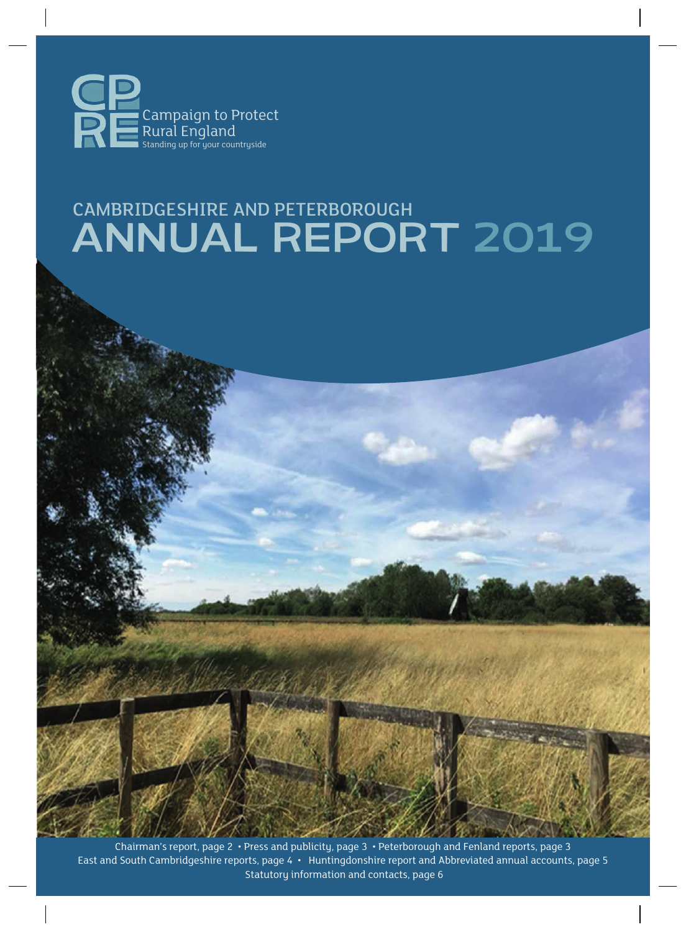

# CAMBRIDGESHIRE AND PETERBOROUGH ANNUAL REPORT 2019

Chairman's report, page 2 • Press and publicity, page 3 • Peterborough and Fenland reports, page 3 East and South Cambridgeshire reports, page 4 • Huntingdonshire report and Abbreviated annual accounts, page 5 Statutory information and contacts, page 6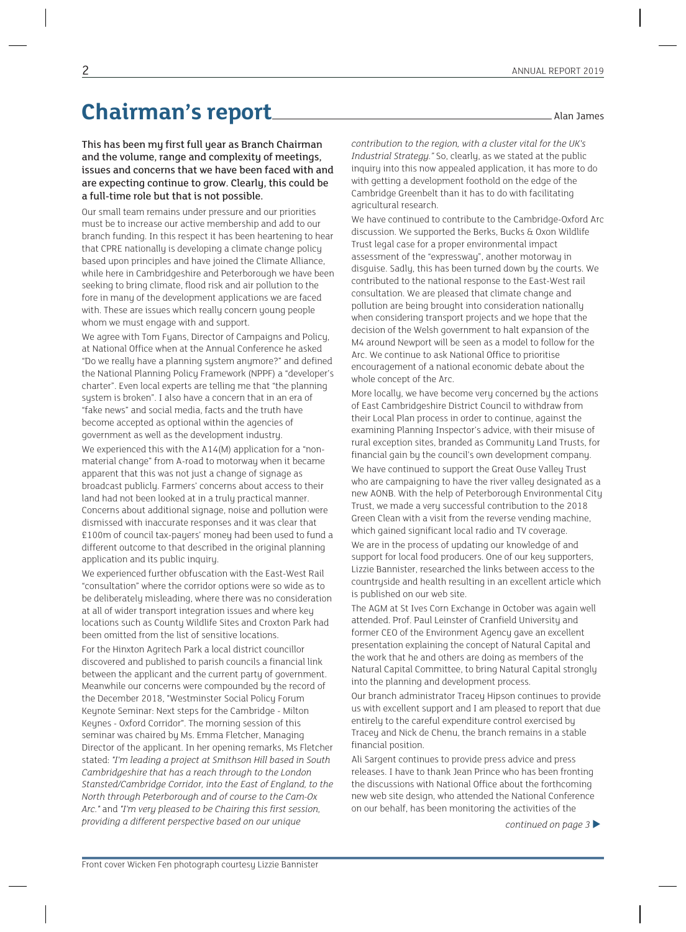### Chairman's report<sub>11</sub> and 120 and 13 amples

This has been my first full year as Branch Chairman and the volume, range and complexity of meetings, issues and concerns that we have been faced with and are expecting continue to grow. Clearly, this could be a full-time role but that is not possible.

Our small team remains under pressure and our priorities must be to increase our active membership and add to our branch funding. In this respect it has been heartening to hear that CPRE nationally is developing a climate change policy based upon principles and have joined the Climate Alliance, while here in Cambridgeshire and Peterborough we have been seeking to bring climate, flood risk and air pollution to the fore in many of the development applications we are faced with. These are issues which really concern young people whom we must engage with and support.

We agree with Tom Fyans, Director of Campaigns and Policy, at National Office when at the Annual Conference he asked "Do we really have a planning system anymore?" and defined the National Planning Policy Framework (NPPF) a "developer's charter". Even local experts are telling me that "the planning system is broken". I also have a concern that in an era of "fake news" and social media, facts and the truth have become accepted as optional within the agencies of government as well as the development industry. We experienced this with the A14(M) application for a "nonmaterial change" from A-road to motorway when it became apparent that this was not just a change of signage as broadcast publicly. Farmers' concerns about access to their land had not been looked at in a truly practical manner. Concerns about additional signage, noise and pollution were dismissed with inaccurate responses and it was clear that £100m of council tax-payers' money had been used to fund a different outcome to that described in the original planning application and its public inquiry.

We experienced further obfuscation with the East-West Rail "consultation" where the corridor options were so wide as to be deliberately misleading, where there was no consideration at all of wider transport integration issues and where key locations such as County Wildlife Sites and Croxton Park had been omitted from the list of sensitive locations.

For the Hinxton Agritech Park a local district councillor discovered and published to parish councils a financial link between the applicant and the current party of government. Meanwhile our concerns were compounded by the record of the December 2018, "Westminster Social Policy Forum Keynote Seminar: Next steps for the Cambridge - Milton Keynes - Oxford Corridor". The morning session of this seminar was chaired by Ms. Emma Fletcher, Managing Director of the applicant. In her opening remarks, Ms Fletcher stated: *"I'm leading a project at Smithson Hill based in South Cambridgeshire that has a reach through to the London Stansted/Cambridge Corridor, into the East of England, to the North through Peterborough and of course to the Cam-Ox Arc."* and *"I'm very pleased to be Chairing this first session, providing a different perspective based on our unique*

*contribution to the region, with a cluster vital for the UK's*

*Industrial Strategy."* So, clearly, as we stated at the public inquiry into this now appealed application, it has more to do with getting a development foothold on the edge of the Cambridge Greenbelt than it has to do with facilitating agricultural research.

We have continued to contribute to the Cambridge-Oxford Arc discussion. We supported the Berks, Bucks & Oxon Wildlife Trust legal case for a proper environmental impact assessment of the "expressway", another motorway in disguise. Sadly, this has been turned down by the courts. We contributed to the national response to the East-West rail consultation. We are pleased that climate change and pollution are being brought into consideration nationally when considering transport projects and we hope that the decision of the Welsh government to halt expansion of the M4 around Newport will be seen as a model to follow for the Arc. We continue to ask National Office to prioritise encouragement of a national economic debate about the whole concept of the Arc.

More locally, we have become very concerned by the actions of East Cambridgeshire District Council to withdraw from their Local Plan process in order to continue, against the examining Planning Inspector's advice, with their misuse of rural exception sites, branded as Community Land Trusts, for financial gain by the council's own development company. We have continued to support the Great Ouse Valley Trust who are campaigning to have the river valley designated as a new AONB. With the help of Peterborough Environmental City Trust, we made a very successful contribution to the 2018 Green Clean with a visit from the reverse vending machine, which gained significant local radio and TV coverage. We are in the process of updating our knowledge of and support for local food producers. One of our key supporters, Lizzie Bannister, researched the links between access to the countryside and health resulting in an excellent article which is published on our web site.

The AGM at St Ives Corn Exchange in October was again well attended. Prof. Paul Leinster of Cranfield University and former CEO of the Environment Agency gave an excellent presentation explaining the concept of Natural Capital and the work that he and others are doing as members of the Natural Capital Committee, to bring Natural Capital strongly into the planning and development process.

Our branch administrator Tracey Hipson continues to provide us with excellent support and I am pleased to report that due entirely to the careful expenditure control exercised by Tracey and Nick de Chenu, the branch remains in a stable financial position.

Ali Sargent continues to provide press advice and press releases. I have to thank Jean Prince who has been fronting the discussions with National Office about the forthcoming new web site design, who attended the National Conference on our behalf, has been monitoring the activities of the

*continued on page 3* �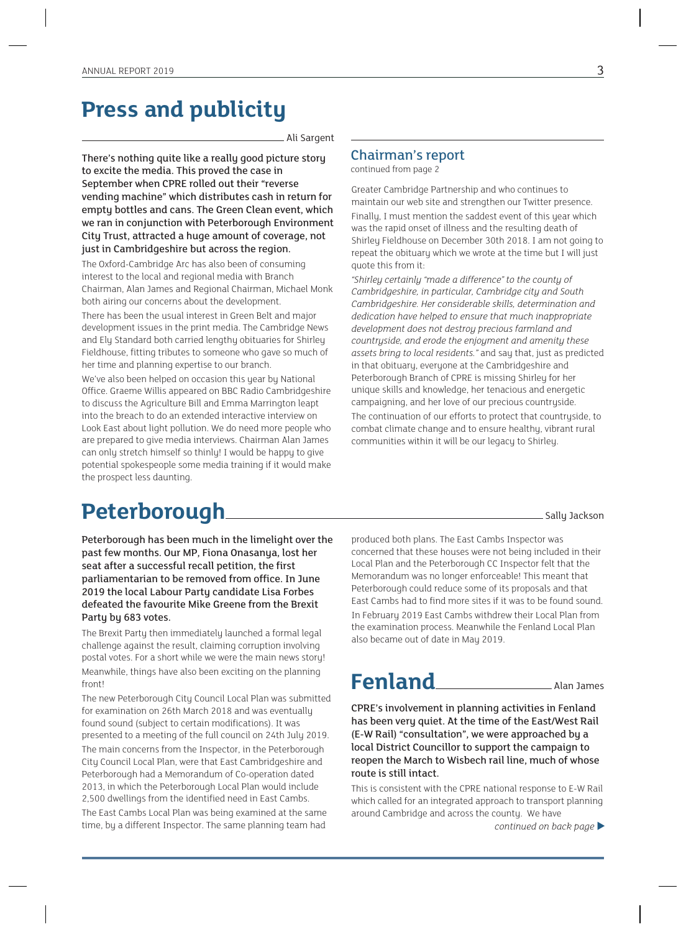### **Press and publicity**

Ali Sargent

There's nothing quite like a really good picture story to excite the media. This proved the case in September when CPRE rolled out their "reverse vending machine" which distributes cash in return for empty bottles and cans. The Green Clean event, which we ran in conjunction with Peterborough Environment City Trust, attracted a huge amount of coverage, not just in Cambridgeshire but across the region.

The Oxford-Cambridge Arc has also been of consuming interest to the local and regional media with Branch Chairman, Alan James and Regional Chairman, Michael Monk both airing our concerns about the development.

There has been the usual interest in Green Belt and major development issues in the print media. The Cambridge News and Ely Standard both carried lengthy obituaries for Shirley Fieldhouse, fitting tributes to someone who gave so much of her time and planning expertise to our branch.

We've also been helped on occasion this year by National Office. Graeme Willis appeared on BBC Radio Cambridgeshire to discuss the Agriculture Bill and Emma Marrington leapt into the breach to do an extended interactive interview on Look East about light pollution. We do need more people who are prepared to give media interviews. Chairman Alan James can only stretch himself so thinly! I would be happy to give potential spokespeople some media training if it would make the prospect less daunting.

#### Chairman's report continued from page 2

Greater Cambridge Partnership and who continues to maintain our web site and strengthen our Twitter presence. Finally, I must mention the saddest event of this year which was the rapid onset of illness and the resulting death of Shirley Fieldhouse on December 30th 2018. I am not going to repeat the obituary which we wrote at the time but I will just quote this from it:

*"Shirley certainly "made a difference" to the county of Cambridgeshire, in particular, Cambridge city and South Cambridgeshire. Her considerable skills, determination and dedication have helped to ensure that much inappropriate development does not destroy precious farmland and countryside, and erode the enjoyment and amenity these assets bring to local residents."* and say that, just as predicted in that obituary, everyone at the Cambridgeshire and Peterborough Branch of CPRE is missing Shirley for her unique skills and knowledge, her tenacious and energetic campaigning, and her love of our precious countryside. The continuation of our efforts to protect that countryside, to combat climate change and to ensure healthy, vibrant rural communities within it will be our legacy to Shirley.

### **Peterborough** Sally Jackson

Peterborough has been much in the limelight over the past few months. Our MP, Fiona Onasanya, lost her seat after a successful recall petition, the first parliamentarian to be removed from office. In June 2019 the local Labour Party candidate Lisa Forbes defeated the favourite Mike Greene from the Brexit Party by 683 votes.

The Brexit Party then immediately launched a formal legal challenge against the result, claiming corruption involving postal votes. For a short while we were the main news story! Meanwhile, things have also been exciting on the planning front!

The new Peterborough City Council Local Plan was submitted for examination on 26th March 2018 and was eventually found sound (subject to certain modifications). It was presented to a meeting of the full council on 24th July 2019. The main concerns from the Inspector, in the Peterborough City Council Local Plan, were that East Cambridgeshire and Peterborough had a Memorandum of Co-operation dated 2013, in which the Peterborough Local Plan would include 2,500 dwellings from the identified need in East Cambs. The East Cambs Local Plan was being examined at the same

time, by a different Inspector. The same planning team had

produced both plans. The East Cambs Inspector was concerned that these houses were not being included in their Local Plan and the Peterborough CC Inspector felt that the Memorandum was no longer enforceable! This meant that Peterborough could reduce some of its proposals and that East Cambs had to find more sites if it was to be found sound. In February 2019 East Cambs withdrew their Local Plan from the examination process. Meanwhile the Fenland Local Plan also became out of date in May 2019.

### **Fenland** Alan James

CPRE's involvement in planning activities in Fenland has been very quiet. At the time of the East/West Rail (E-W Rail) "consultation", we were approached by a local District Councillor to support the campaign to reopen the March to Wisbech rail line, much of whose route is still intact.

This is consistent with the CPRE national response to E-W Rail which called for an integrated approach to transport planning around Cambridge and across the county. We have

*continued on back page* �

3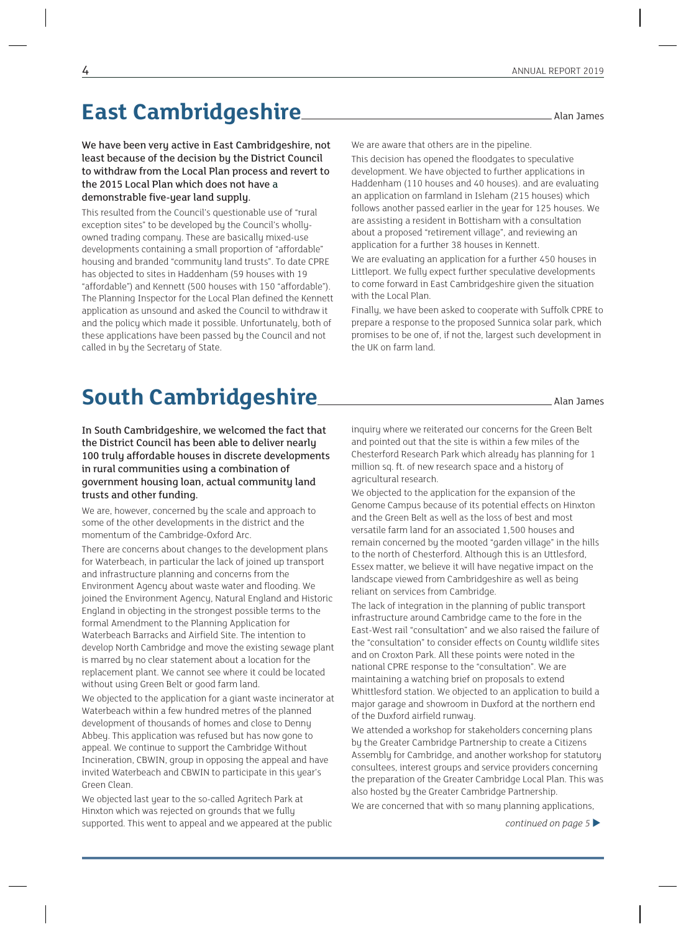### **East Cambridgeshire <u>Cambridgeshire</u> Alan James**

We have been very active in East Cambridgeshire, not least because of the decision by the District Council to withdraw from the Local Plan process and revert to the 2015 Local Plan which does not have a demonstrable five-year land supply.

This resulted from the Council's questionable use of "rural exception sites" to be developed by the Council's whollyowned trading company. These are basically mixed-use developments containing a small proportion of "affordable" housing and branded "community land trusts". To date CPRE has objected to sites in Haddenham (59 houses with 19 "affordable") and Kennett (500 houses with 150 "affordable"). The Planning Inspector for the Local Plan defined the Kennett application as unsound and asked the Council to withdraw it and the policy which made it possible. Unfortunately, both of these applications have been passed by the Council and not called in by the Secretary of State.

We are aware that others are in the pipeline.

This decision has opened the floodgates to speculative development. We have objected to further applications in Haddenham (110 houses and 40 houses). and are evaluating an application on farmland in Isleham (215 houses) which follows another passed earlier in the year for 125 houses. We are assisting a resident in Bottisham with a consultation about a proposed "retirement village", and reviewing an application for a further 38 houses in Kennett.

We are evaluating an application for a further 450 houses in Littleport. We fully expect further speculative developments to come forward in East Cambridgeshire given the situation with the Local Plan.

Finally, we have been asked to cooperate with Suffolk CPRE to prepare a response to the proposed Sunnica solar park, which promises to be one of, if not the, largest such development in the UK on farm land.

### **South Cambridgeshire** Alan James

#### In South Cambridgeshire, we welcomed the fact that the District Council has been able to deliver nearly 100 truly affordable houses in discrete developments in rural communities using a combination of government housing loan, actual community land trusts and other funding.

We are, however, concerned by the scale and approach to some of the other developments in the district and the momentum of the Cambridge-Oxford Arc.

There are concerns about changes to the development plans for Waterbeach, in particular the lack of joined up transport and infrastructure planning and concerns from the Environment Agency about waste water and flooding. We joined the Environment Agency, Natural England and Historic England in objecting in the strongest possible terms to the formal Amendment to the Planning Application for Waterbeach Barracks and Airfield Site. The intention to develop North Cambridge and move the existing sewage plant is marred by no clear statement about a location for the replacement plant. We cannot see where it could be located without using Green Belt or good farm land.

We objected to the application for a giant waste incinerator at Waterbeach within a few hundred metres of the planned development of thousands of homes and close to Denny Abbey. This application was refused but has now gone to appeal. We continue to support the Cambridge Without Incineration, CBWIN, group in opposing the appeal and have invited Waterbeach and CBWIN to participate in this year's Green Clean.

We objected last year to the so-called Agritech Park at Hinxton which was rejected on grounds that we fully supported. This went to appeal and we appeared at the public inquiry where we reiterated our concerns for the Green Belt and pointed out that the site is within a few miles of the Chesterford Research Park which already has planning for 1 million sq. ft. of new research space and a history of agricultural research.

We objected to the application for the expansion of the Genome Campus because of its potential effects on Hinxton and the Green Belt as well as the loss of best and most versatile farm land for an associated 1,500 houses and remain concerned by the mooted "garden village" in the hills to the north of Chesterford. Although this is an Uttlesford, Essex matter, we believe it will have negative impact on the landscape viewed from Cambridgeshire as well as being reliant on services from Cambridge.

The lack of integration in the planning of public transport infrastructure around Cambridge came to the fore in the East-West rail "consultation" and we also raised the failure of the "consultation" to consider effects on County wildlife sites and on Croxton Park. All these points were noted in the national CPRE response to the "consultation". We are maintaining a watching brief on proposals to extend Whittlesford station. We objected to an application to build a major garage and showroom in Duxford at the northern end of the Duxford airfield runway.

We attended a workshop for stakeholders concerning plans by the Greater Cambridge Partnership to create a Citizens Assembly for Cambridge, and another workshop for statutory consultees, interest groups and service providers concerning the preparation of the Greater Cambridge Local Plan. This was also hosted by the Greater Cambridge Partnership.

We are concerned that with so many planning applications,

*continued on page 5* �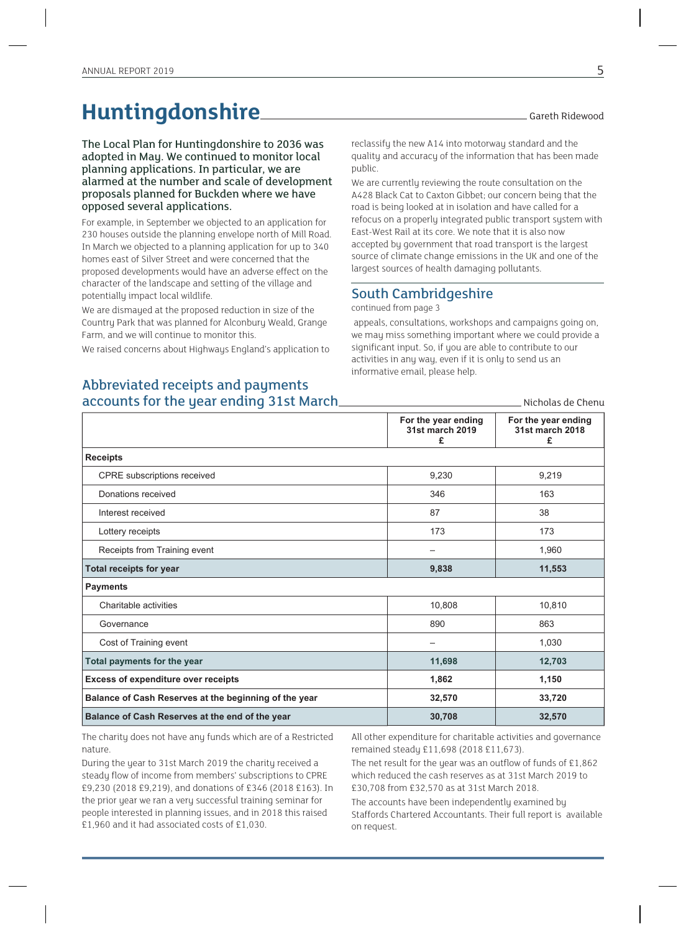## Huntingdonshire **Hunting**

The Local Plan for Huntingdonshire to 2036 was adopted in May. We continued to monitor local planning applications. In particular, we are alarmed at the number and scale of development proposals planned for Buckden where we have opposed several applications.

For example, in September we objected to an application for 230 houses outside the planning envelope north of Mill Road. In March we objected to a planning application for up to 340 homes east of Silver Street and were concerned that the proposed developments would have an adverse effect on the character of the landscape and setting of the village and potentially impact local wildlife.

We are dismayed at the proposed reduction in size of the Country Park that was planned for Alconbury Weald, Grange Farm, and we will continue to monitor this.

We raised concerns about Highways England's application to

Nicholas de Chenu

reclassify the new A14 into motorway standard and the quality and accuracy of the information that has been made public.

We are currently reviewing the route consultation on the A428 Black Cat to Caxton Gibbet; our concern being that the road is being looked at in isolation and have called for a refocus on a properly integrated public transport system with East-West Rail at its core. We note that it is also now accepted by government that road transport is the largest source of climate change emissions in the UK and one of the largest sources of health damaging pollutants.

#### South Cambridgeshire

continued from page 3

 appeals, consultations, workshops and campaigns going on, we may miss something important where we could provide a significant input. So, if you are able to contribute to our activities in any way, even if it is only to send us an informative email, please help.

#### Abbreviated receipts and payments accounts for the year ending 31st March

|                                                       | For the year ending<br>31st march 2019<br>£ | For the year ending<br>31st march 2018<br>£ |
|-------------------------------------------------------|---------------------------------------------|---------------------------------------------|
| <b>Receipts</b>                                       |                                             |                                             |
| <b>CPRE</b> subscriptions received                    | 9,230                                       | 9,219                                       |
| Donations received                                    | 346                                         | 163                                         |
| Interest received                                     | 87                                          | 38                                          |
| Lottery receipts                                      | 173                                         | 173                                         |
| Receipts from Training event                          | -                                           | 1,960                                       |
| <b>Total receipts for year</b>                        | 9,838                                       | 11,553                                      |
| <b>Payments</b>                                       |                                             |                                             |
| Charitable activities                                 | 10,808                                      | 10,810                                      |
| Governance                                            | 890                                         | 863                                         |
| Cost of Training event                                | —                                           | 1,030                                       |
| Total payments for the year                           | 11,698                                      | 12,703                                      |
| <b>Excess of expenditure over receipts</b>            | 1,862                                       | 1,150                                       |
| Balance of Cash Reserves at the beginning of the year | 32,570                                      | 33,720                                      |
| Balance of Cash Reserves at the end of the year       | 30,708                                      | 32,570                                      |

The charity does not have any funds which are of a Restricted nature.

During the year to 31st March 2019 the charity received a steady flow of income from members' subscriptions to CPRE £9,230 (2018 £9,219), and donations of £346 (2018 £163). In the prior year we ran a very successful training seminar for people interested in planning issues, and in 2018 this raised £1,960 and it had associated costs of £1,030.

All other expenditure for charitable activities and governance remained steady £11,698 (2018 £11,673).

The net result for the year was an outflow of funds of £1,862 which reduced the cash reserves as at 31st March 2019 to £30,708 from £32,570 as at 31st March 2018.

The accounts have been independently examined by Staffords Chartered Accountants. Their full report is available on request.